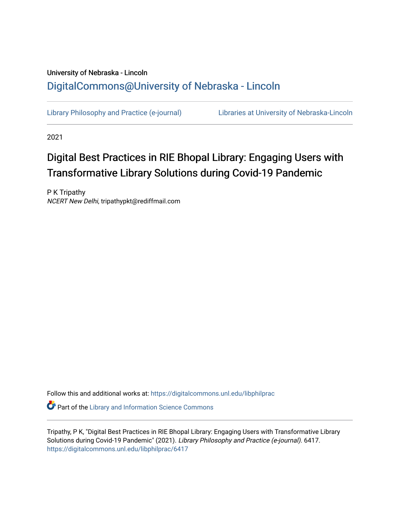## University of Nebraska - Lincoln [DigitalCommons@University of Nebraska - Lincoln](https://digitalcommons.unl.edu/)

[Library Philosophy and Practice \(e-journal\)](https://digitalcommons.unl.edu/libphilprac) [Libraries at University of Nebraska-Lincoln](https://digitalcommons.unl.edu/libraries) 

2021

# Digital Best Practices in RIE Bhopal Library: Engaging Users with Transformative Library Solutions during Covid-19 Pandemic

P K Tripathy NCERT New Delhi, tripathypkt@rediffmail.com

Follow this and additional works at: [https://digitalcommons.unl.edu/libphilprac](https://digitalcommons.unl.edu/libphilprac?utm_source=digitalcommons.unl.edu%2Flibphilprac%2F6417&utm_medium=PDF&utm_campaign=PDFCoverPages) 

**Part of the Library and Information Science Commons** 

Tripathy, P K, "Digital Best Practices in RIE Bhopal Library: Engaging Users with Transformative Library Solutions during Covid-19 Pandemic" (2021). Library Philosophy and Practice (e-journal). 6417. [https://digitalcommons.unl.edu/libphilprac/6417](https://digitalcommons.unl.edu/libphilprac/6417?utm_source=digitalcommons.unl.edu%2Flibphilprac%2F6417&utm_medium=PDF&utm_campaign=PDFCoverPages)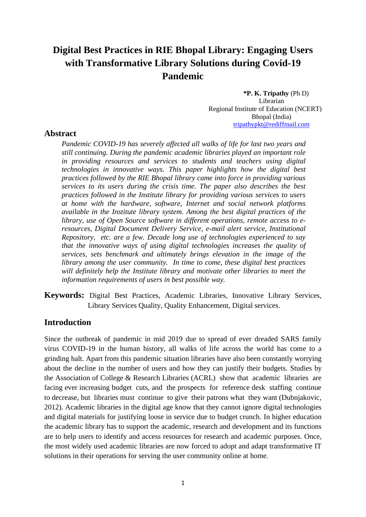## **Digital Best Practices in RIE Bhopal Library: Engaging Users with Transformative Library Solutions during Covid-19 Pandemic**

**\*P. K. Tripathy** (Ph D) Librarian Regional Institute of Education (NCERT) Bhopal (India) [tripathypkt@rediffmail.com](mailto:tripathypkt@rediffmail.com)

## **Abstract**

*Pandemic COVID-19 has severely affected all walks of life for last two years and still continuing. During the pandemic academic libraries played an important role in providing resources and services to students and teachers using digital technologies in innovative ways. This paper highlights how the digital best practices followed by the RIE Bhopal library came into force in providing various services to its users during the crisis time. The paper also describes the best practices followed in the Institute library for providing various services to users at home with the hardware, software, Internet and social network platforms available in the Institute library system. Among the best digital practices of the library, use of Open Source software in different operations, remote access to eresources, Digital Document Delivery Service, e-mail alert service, Institutional Repository, etc. are a few. Decade long use of technologies experienced to say that the innovative ways of using digital technologies increases the quality of services, sets benchmark and ultimately brings elevation in the image of the library among the user community. In time to come, these digital best practices will definitely help the Institute library and motivate other libraries to meet the information requirements of users in best possible way.*

**Keywords:** Digital Best Practices, Academic Libraries, Innovative Library Services, Library Services Quality, Quality Enhancement, Digital services.

## **Introduction**

Since the outbreak of pandemic in mid 2019 due to spread of ever dreaded SARS family virus COVID-19 in the human history, all walks of life across the world has come to a grinding halt. Apart from this pandemic situation libraries have also been constantly worrying about the decline in the number of users and how they can justify their budgets. Studies by the Association of College & Research Libraries (ACRL) show that academic libraries are facing ever increasing budget cuts, and the prospects for reference desk staffing continue to decrease, but libraries must continue to give their patrons what they want (Dubnjakovic, 2012). Academic libraries in the digital age know that they cannot ignore digital technologies and digital materials for justifying loose in service due to budget crunch. In higher education the academic library has to support the academic, research and development and its functions are to help users to identify and access resources for research and academic purposes. Once, the most widely used academic libraries are now forced to adopt and adapt transformative IT solutions in their operations for serving the user community online at home.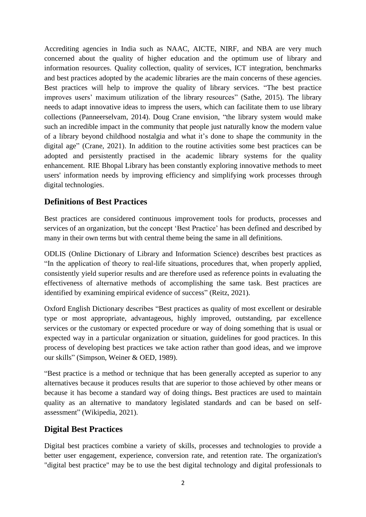Accrediting agencies in India such as NAAC, AICTE, NIRF, and NBA are very much concerned about the quality of higher education and the optimum use of library and information resources. Quality collection, quality of services, ICT integration, benchmarks and best practices adopted by the academic libraries are the main concerns of these agencies. Best practices will help to improve the quality of library services. "The best practice improves users' maximum utilization of the library resources" (Sathe, 2015). The library needs to adapt innovative ideas to impress the users, which can facilitate them to use library collections (Panneerselvam, 2014). Doug Crane envision, "the library system would make such an incredible impact in the community that people just naturally know the modern value of a library beyond childhood nostalgia and what it's done to shape the community in the digital age" (Crane, 2021). In addition to the routine activities some best practices can be adopted and persistently practised in the academic library systems for the quality enhancement. RIE Bhopal Library has been constantly exploring innovative methods to meet users' information needs by improving efficiency and simplifying work processes through digital technologies.

## **Definitions of Best Practices**

Best practices are considered continuous improvement tools for products, processes and services of an organization, but the concept 'Best Practice' has been defined and described by many in their own terms but with central theme being the same in all definitions.

ODLIS (Online Dictionary of Library and Information Science) describes best practices as "In the application of theory to real-life situations, procedures that, when properly applied, consistently yield superior results and are therefore used as reference points in evaluating the effectiveness of alternative methods of accomplishing the same task. Best practices are identified by examining empirical evidence of success" (Reitz, 2021).

Oxford English Dictionary describes "Best practices as quality of most excellent or desirable type or most appropriate, advantageous, highly improved, outstanding, par excellence services or the customary or expected procedure or way of doing something that is usual or expected way in a particular organization or situation, guidelines for good practices. In this process of developing best practices we take action rather than good ideas, and we improve our skills" (Simpson, Weiner & OED, 1989).

"Best practice is a method or technique that has been generally accepted as superior to any alternatives because it produces results that are superior to those achieved by other means or because it has become a standard way of doing things**.** Best practices are used to maintain quality as an alternative to mandatory legislated standards and can be based on selfassessment" (Wikipedia, 2021).

## **Digital Best Practices**

Digital best practices combine a variety of skills, processes and technologies to provide a better user engagement, experience, conversion rate, and retention rate. The organization's "digital best practice" may be to use the best digital technology and digital professionals to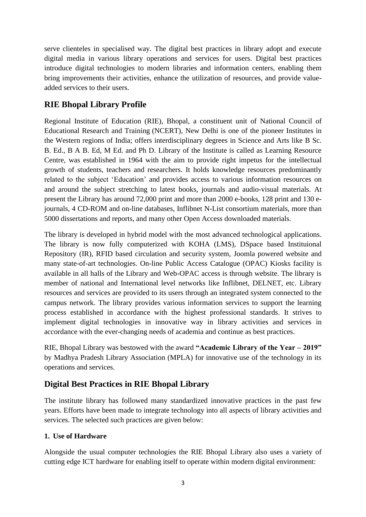serve clienteles in specialised way. The digital best practices in library adopt and execute digital media in various library operations and services for users. Digital best practices introduce digital technologies to modern libraries and information centers, enabling them bring improvements their activities, enhance the utilization of resources, and provide valueadded services to their users.

## **RIE Bhopal Library Profile**

Regional Institute of Education (RIE), Bhopal, a constituent unit of National Council of Educational Research and Training (NCERT), New Delhi is one of the pioneer Institutes in the Western regions of India; offers interdisciplinary degrees in Science and Arts like B Sc. B. Ed., B A B. Ed, M Ed. and Ph D. Library of the Institute is called as Learning Resource Centre, was established in 1964 with the aim to provide right impetus for the intellectual growth of students, teachers and researchers. It holds knowledge resources predominantly related to the subject 'Education' and provides access to various information resources on and around the subject stretching to latest books, journals and audio-visual materials. At present the Library has around 72,000 print and more than 2000 e-books, 128 print and 130 ejournals, 4 CD-ROM and on-line databases, Inflibnet N-List consortium materials, more than 5000 dissertations and reports, and many other Open Access downloaded materials.

The library is developed in hybrid model with the most advanced technological applications. The library is now fully computerized with KOHA (LMS), DSpace based Instituional Repository (IR), RFID based circulation and security system, Joomla powered website and many state-of-art technologies. On-line Public Access Catalogue (OPAC) Kiosks facility is available in all halls of the Library and Web-OPAC access is through website. The library is member of national and International level networks like Inflibnet, DELNET, etc. Library resources and services are provided to its users through an integrated system connected to the campus network. The library provides various information services to support the learning process established in accordance with the highest professional standards. It strives to implement digital technologies in innovative way in library activities and services in accordance with the ever-changing needs of academia and continue as best practices.

RIE, Bhopal Library was bestowed with the award **"Academic Library of the Year – 2019"** by Madhya Pradesh Library Association (MPLA) for innovative use of the technology in its operations and services.

## **Digital Best Practices in RIE Bhopal Library**

The institute library has followed many standardized innovative practices in the past few years. Efforts have been made to integrate technology into all aspects of library activities and services. The selected such practices are given below:

## **1. Use of Hardware**

Alongside the usual computer technologies the RIE Bhopal Library also uses a variety of cutting edge ICT hardware for enabling itself to operate within modern digital environment: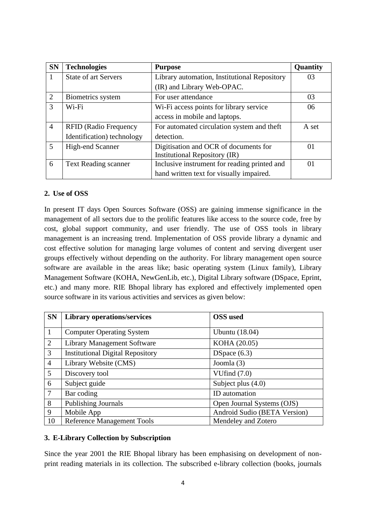| <b>SN</b>      | <b>Technologies</b>          | <b>Purpose</b>                               | Quantity |
|----------------|------------------------------|----------------------------------------------|----------|
| -1             | <b>State of art Servers</b>  | Library automation, Institutional Repository | 03       |
|                |                              | (IR) and Library Web-OPAC.                   |          |
| 2              | Biometrics system            | For user attendance                          | 03       |
| 3              | Wi-Fi                        | Wi-Fi access points for library service      | 06       |
|                |                              | access in mobile and laptops.                |          |
| $\overline{4}$ | <b>RFID</b> (Radio Frequency | For automated circulation system and theft   | A set    |
|                | Identification) technology   | detection.                                   |          |
| $\mathfrak{H}$ | High-end Scanner             | Digitisation and OCR of documents for        | 01       |
|                |                              | Institutional Repository (IR)                |          |
| 6              | <b>Text Reading scanner</b>  | Inclusive instrument for reading printed and | 01       |
|                |                              | hand written text for visually impaired.     |          |

#### **2. Use of OSS**

In present IT days Open Sources Software (OSS) are gaining immense significance in the management of all sectors due to the prolific features like access to the source code, free by cost, global support community, and user friendly. The use of OSS tools in library management is an increasing trend. Implementation of OSS provide library a dynamic and cost effective solution for managing large volumes of content and serving divergent user groups effectively without depending on the authority. For library management open source software are available in the areas like; basic operating system (Linux family), Library Management Software (KOHA, NewGenLib, etc.), Digital Library software (DSpace, Eprint, etc.) and many more. RIE Bhopal library has explored and effectively implemented open source software in its various activities and services as given below:

| <b>SN</b>      | <b>Library operations/services</b>      | <b>OSS</b> used              |  |  |
|----------------|-----------------------------------------|------------------------------|--|--|
| $\mathbf{1}$   | <b>Computer Operating System</b>        | <b>Ubuntu</b> (18.04)        |  |  |
| 2              | <b>Library Management Software</b>      | KOHA (20.05)                 |  |  |
| 3              | <b>Institutional Digital Repository</b> | DSpace $(6.3)$               |  |  |
| $\overline{4}$ | Library Website (CMS)                   | Joomla (3)                   |  |  |
| 5              | Discovery tool                          | VUfind $(7.0)$               |  |  |
| 6              | Subject guide                           | Subject plus $(4.0)$         |  |  |
| $\overline{7}$ | Bar coding                              | ID automation                |  |  |
| 8              | Publishing Journals                     | Open Journal Systems (OJS)   |  |  |
| 9              | Mobile App                              | Android Sudio (BETA Version) |  |  |
| 10             | <b>Reference Management Tools</b>       | Mendeley and Zotero          |  |  |

#### **3. E-Library Collection by Subscription**

Since the year 2001 the RIE Bhopal library has been emphasising on development of nonprint reading materials in its collection. The subscribed e-library collection (books, journals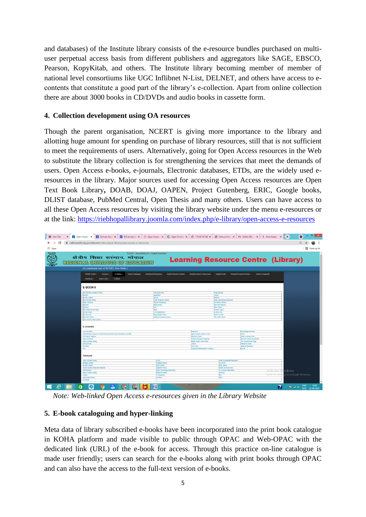and databases) of the Institute library consists of the e-resource bundles purchased on multiuser perpetual access basis from different publishers and aggregators like SAGE, EBSCO, Pearson, KopyKitab, and others. The Institute library becoming member of member of national level consortiums like UGC Inflibnet N-List, DELNET, and others have access to econtents that constitute a good part of the library's e-collection. Apart from online collection there are about 3000 books in CD/DVDs and audio books in cassette form.

#### **4. Collection development using OA resources**

Though the parent organisation, NCERT is giving more importance to the library and allotting huge amount for spending on purchase of library resources, still that is not sufficient to meet the requirements of users. Alternatively, going for Open Access resources in the Web to substitute the library collection is for strengthening the services that meet the demands of users. Open Access e-books, e-journals, Electronic databases, ETDs, are the widely used eresources in the library. Major sources used for accessing Open Access resources are Open Text Book Library**,** DOAB, DOAJ, OAPEN, Project Gutenberg, ERIC, Google books, [DLIST](http://arizona.openrepository.com/arizona/handle/10150/105066/) database, PubMed Central, [Open Thesis](http://www.openthesis.org/) and many others. Users can have access to all these Open Access resources by visiting the library website under the menu e-resources or at the link: <https://riebhopallibrary.joomla.com/index.php/e-library/open-access-e-resources>

| <b>O</b> New Tab                                                                            | X   Open Access i X   Remote Acce: X   Co ElS January 21 X   (8) Open Access i X   (2) Open Knowle X   ⊘ 172.30.16.186 X   ⊘ Koha online c X   M Drafts (69) - II X   ± Downloads X   + |                                                                                              |                                                                                                                                                    |                                                                                               |                                                                                        |                          | $\bullet$                                                          | $\mathbf{x}$ |
|---------------------------------------------------------------------------------------------|-----------------------------------------------------------------------------------------------------------------------------------------------------------------------------------------|----------------------------------------------------------------------------------------------|----------------------------------------------------------------------------------------------------------------------------------------------------|-----------------------------------------------------------------------------------------------|----------------------------------------------------------------------------------------|--------------------------|--------------------------------------------------------------------|--------------|
| $\odot$<br>C<br>iii riebhopallibrary.joomla.com/index.php/e-library/open-access-e-resources |                                                                                                                                                                                         |                                                                                              |                                                                                                                                                    |                                                                                               |                                                                                        |                          |                                                                    |              |
| <b>III</b> Apps                                                                             |                                                                                                                                                                                         |                                                                                              |                                                                                                                                                    |                                                                                               |                                                                                        |                          | Reading list                                                       |              |
|                                                                                             | NAAC Accredited A+ Grade Institute<br>क्षेत्रीय शिक्षा सस्थान, भोपाल<br>FEEDOMAL INSTITUTE OF EDUCATION<br>(A constituent unit of NCERT, New Delhi)                                     |                                                                                              |                                                                                                                                                    | <b>Learning Resource Centre (Library)</b>                                                     |                                                                                        |                          |                                                                    |              |
|                                                                                             | RIEBPL Home -<br>Services -<br>E-Library -<br><b>Library Catalogue</b><br>Useful Links -<br>Contact<br>Download -<br><b>E-BOOKS</b>                                                     | Institutional Repository<br><b>Vufind Discovery Search</b>                                   | Remote Access E-Resources                                                                                                                          | <b>Subject Guide</b>                                                                          | Research Support Service -<br>Urkund (Ouriginal)                                       |                          |                                                                    |              |
|                                                                                             | The National Academic Press<br><b>DAPEN</b><br>-Sodh Sindhu                                                                                                                             | <b>Free Book Spot</b><br>Bookboon<br>DOAB                                                    |                                                                                                                                                    | <b>Pres e-Books</b><br><b>Ustore</b><br>INTECH                                                |                                                                                        |                          |                                                                    |              |
|                                                                                             | <b>Lima Books Ordina</b><br><b>Doen Textbook</b><br><b>Books</b><br>Globusz                                                                                                             | Open Taxtbook Library<br><b>Project Gutenberg</b><br>Many Books<br><b>ZELF</b>               |                                                                                                                                                    | Open Educational Resource<br><b>UC Press e-Books</b><br>Get Free a-Books<br><b>Rock Vants</b> |                                                                                        |                          |                                                                    |              |
|                                                                                             | The Online Books Page<br><b>Library News</b><br>nfol.Ibrarian                                                                                                                           |                                                                                              | Dean<br>LIS Publications<br>Early English Book<br>Natioani Academic Press                                                                          |                                                                                               | <b>o-Book Lottry</b><br><b>p-Book Libs</b><br><b>Hathi Trust OL</b><br>The Online Book |                          |                                                                    |              |
|                                                                                             | nternat Archive<br>Click Here for More e-Book<br><b>E-Journals</b>                                                                                                                      |                                                                                              |                                                                                                                                                    |                                                                                               |                                                                                        |                          |                                                                    |              |
|                                                                                             | <b>Journal Quide</b><br>International Journal of Social Science and Economic Research (USSER)                                                                                           |                                                                                              | Paperbive<br>Open Access Journal on L15                                                                                                            |                                                                                               | Knowledgeunistched<br>LADO                                                             |                          |                                                                    |              |
|                                                                                             | <b>US Search Engines</b><br><b>Goa University</b><br>Open Access Library<br><b>InfoL</b> Ibrarian                                                                                       |                                                                                              | HighWre Press<br>Indian Journals.Com<br><b>Current Periodical Reading</b><br>Digital South Asia Library<br>The Online Books Page<br><b>U Store</b> |                                                                                               | <b>NISCAIR Online Periodicals</b><br>Research Gulde                                    |                          |                                                                    |              |
|                                                                                             | <b>LIU Post</b><br>14.5                                                                                                                                                                 |                                                                                              | <b>E. SUILTERS</b><br>American Mathematical Society's                                                                                              |                                                                                               | <b>Science Education</b><br><b>INA SP</b>                                              |                          |                                                                    |              |
|                                                                                             | <b>Database</b>                                                                                                                                                                         |                                                                                              |                                                                                                                                                    |                                                                                               |                                                                                        |                          |                                                                    |              |
|                                                                                             | Open Access Library<br><b>Righted Cantral</b><br>- Sodh Sindhu<br>Social Science Research Network                                                                                       | DUST<br><b>Publish Cantral</b><br>EBSCOhost<br><b>HighWine Press</b>                         |                                                                                                                                                    | Open Knowledge Repository<br><b>CALETER</b><br><b>JEEE Xplore</b><br>Indian Journals.Com      |                                                                                        |                          |                                                                    |              |
|                                                                                             | InfoL Brarian<br>Open Access Library<br><b>Jistore</b><br><b>University Library</b><br><b>QAISTER</b>                                                                                   | Open Knowledge Repository<br><b>Reserch Guides</b><br><b>LIS Abstract</b><br><b>LIU Post</b> |                                                                                                                                                    | <b>UA Campus Repository</b><br>et. Ibrary<br>ROL<br>ERIC                                      |                                                                                        | Activate<br>Go to PC set | ndows<br>as to activate Windows.                                   |              |
| ÷<br>e                                                                                      | â<br>€                                                                                                                                                                                  | 崉                                                                                            |                                                                                                                                                    |                                                                                               |                                                                                        |                          | 18:03<br><b>ENG</b><br>$\sim$ <b>Ex</b> and (b)<br>INTL 02-09-2021 |              |

*Note: Web-linked Open Access e-resources given in the Library Website* 

#### **5. E-book cataloguing and hyper-linking**

Meta data of library subscribed e-books have been incorporated into the print book catalogue in KOHA platform and made visible to public through OPAC and Web-OPAC with the dedicated link (URL) of the e-book for access. Through this practice on-line catalogue is made user friendly; users can search for the e-books along with print books through OPAC and can also have the access to the full-text version of e-books.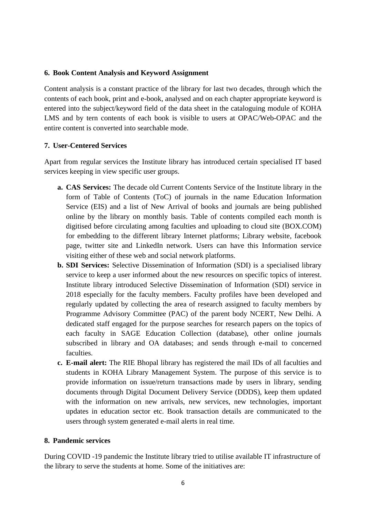#### **6. Book Content Analysis and Keyword Assignment**

Content analysis is a constant practice of the library for last two decades, through which the contents of each book, print and e-book, analysed and on each chapter appropriate keyword is entered into the subject/keyword field of the data sheet in the cataloguing module of KOHA LMS and by tern contents of each book is visible to users at OPAC/Web-OPAC and the entire content is converted into searchable mode.

#### **7. User-Centered Services**

Apart from regular services the Institute library has introduced certain specialised IT based services keeping in view specific user groups.

- **a. CAS Services:** The decade old Current Contents Service of the Institute library in the form of Table of Contents (ToC) of journals in the name Education Information Service (EIS) and a list of New Arrival of books and journals are being published online by the library on monthly basis. Table of contents compiled each month is digitised before circulating among faculties and uploading to cloud site (BOX.COM) for embedding to the different library Internet platforms; Library website, facebook page, twitter site and LinkedIn network. Users can have this Information service visiting either of these web and social network platforms.
- **b. SDI Services:** Selective Dissemination of Information (SDI) is a specialised library service to keep a user informed about the new resources on specific topics of interest. Institute library introduced Selective Dissemination of Information (SDI) service in 2018 especially for the faculty members. Faculty profiles have been developed and regularly updated by collecting the area of research assigned to faculty members by Programme Advisory Committee (PAC) of the parent body NCERT, New Delhi. A dedicated staff engaged for the purpose searches for research papers on the topics of each faculty in SAGE Education Collection (database), other online journals subscribed in library and OA databases; and sends through e-mail to concerned faculties.
- **c. E-mail alert:** The RIE Bhopal library has registered the mail IDs of all faculties and students in KOHA Library Management System. The purpose of this service is to provide information on issue/return transactions made by users in library, sending documents through Digital Document Delivery Service (DDDS), keep them updated with the information on new arrivals, new services, new technologies, important updates in education sector etc. Book transaction details are communicated to the users through system generated e-mail alerts in real time.

#### **8. Pandemic services**

During COVID -19 pandemic the Institute library tried to utilise available IT infrastructure of the library to serve the students at home. Some of the initiatives are: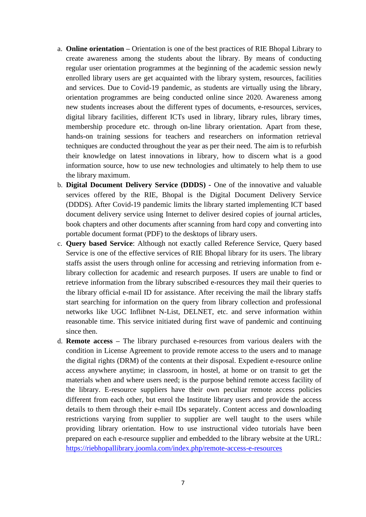- a. **Online orientation –** Orientation is one of the best practices of RIE Bhopal Library to create awareness among the students about the library. By means of conducting regular user orientation programmes at the beginning of the academic session newly enrolled library users are get acquainted with the library system, resources, facilities and services. Due to Covid-19 pandemic, as students are virtually using the library, orientation programmes are being conducted online since 2020. Awareness among new students increases about the different types of documents, e-resources, services, digital library facilities, different ICTs used in library, library rules, library times, membership procedure etc. through on-line library orientation. Apart from these, hands-on training sessions for teachers and researchers on information retrieval techniques are conducted throughout the year as per their need. The aim is to refurbish their knowledge on latest innovations in library, how to discern what is a good information source, how to use new technologies and ultimately to help them to use the library maximum.
- b. **Digital Document Delivery Service (DDDS) -** One of the innovative and valuable services offered by the RIE, Bhopal is the Digital Document Delivery Service (DDDS). After Covid-19 pandemic limits the library started implementing ICT based document delivery service using Internet to deliver desired copies of journal articles, book chapters and other documents after scanning from hard copy and converting into portable document format (PDF) to the desktops of library users.
- c. **Query based Service**: Although not exactly called Reference Service, Query based Service is one of the effective services of RIE Bhopal library for its users. The library staffs assist the users through online for accessing and retrieving information from elibrary collection for academic and research purposes. If users are unable to find or retrieve information from the library subscribed e-resources they mail their queries to the library official e-mail ID for assistance. After receiving the mail the library staffs start searching for information on the query from library collection and professional networks like UGC Inflibnet N-List, DELNET, etc. and serve information within reasonable time. This service initiated during first wave of pandemic and continuing since then.
- d. **Remote access –** The library purchased e-resources from various dealers with the condition in License Agreement to provide remote access to the users and to manage the digital rights (DRM) of the contents at their disposal. Expedient e-resource online access anywhere anytime; in classroom, in hostel, at home or on transit to get the materials when and where users need; is the purpose behind remote access facility of the library. E-resource suppliers have their own peculiar remote access policies different from each other, but enrol the Institute library users and provide the access details to them through their e-mail IDs separately. Content access and downloading restrictions varying from supplier to supplier are well taught to the users while providing library orientation. How to use instructional video tutorials have been prepared on each e-resource supplier and embedded to the library website at the URL: <https://riebhopallibrary.joomla.com/index.php/remote-access-e-resources>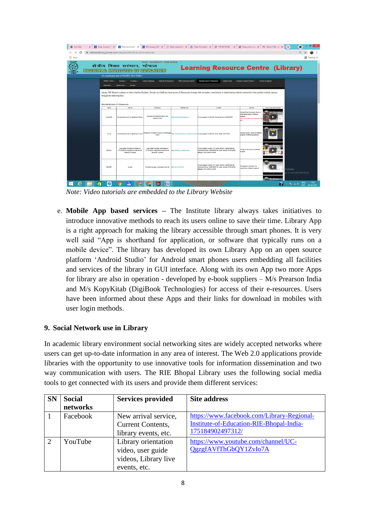| <b>D</b> New Tab |                                                                    |                                                                     |                                                                                                         |                                                                                                                |                                | X   Open Access E X   Remote Access   X   2 ElS January 2021 X   1 Open Access Li: X   © Open Knowledg: X   © 172.30.16.186 X   © Koha online cat. X   M Inbox (134) - II: X   +                                  |                                                                                                                               |                           |                                  | o            |
|------------------|--------------------------------------------------------------------|---------------------------------------------------------------------|---------------------------------------------------------------------------------------------------------|----------------------------------------------------------------------------------------------------------------|--------------------------------|-------------------------------------------------------------------------------------------------------------------------------------------------------------------------------------------------------------------|-------------------------------------------------------------------------------------------------------------------------------|---------------------------|----------------------------------|--------------|
|                  | ii riebhopallibrary.joomla.com/index.php/remote-access-e-resources |                                                                     |                                                                                                         |                                                                                                                |                                |                                                                                                                                                                                                                   |                                                                                                                               |                           |                                  |              |
| <b>III</b> Apps  |                                                                    |                                                                     |                                                                                                         |                                                                                                                |                                |                                                                                                                                                                                                                   |                                                                                                                               |                           |                                  | Reading list |
|                  |                                                                    |                                                                     | क्षेत्रीय शिक्षा सरंथान, भोपाल<br>TORFION ALL INSTITUTES OF SHOUGHTON                                   | NAAC Accredited A+ Grade Institute                                                                             |                                | <b>Learning Resource Centre (Library)</b>                                                                                                                                                                         |                                                                                                                               |                           |                                  |              |
|                  | (A constituent unit of NCERT, New Delhi)                           |                                                                     |                                                                                                         |                                                                                                                |                                |                                                                                                                                                                                                                   |                                                                                                                               |                           |                                  |              |
|                  |                                                                    | RIEBPL Home -<br>Download -                                         | E-Library -<br>Services -<br>Useful Links -<br>Contact                                                  | Library Catalogue<br>Institutional Repository                                                                  | <b>Writed Discovery Search</b> | Remote Access E-Resources<br><b>Subject Guide</b>                                                                                                                                                                 | Research Support Service -                                                                                                    | Unkund (Ounginal)         |                                  |              |
|                  |                                                                    | through the following links-<br><b>Remote Access of E-Resources</b> |                                                                                                         |                                                                                                                |                                | Library, RIE Bhopal is please to inform that the Students. Faculty and Staff can have access E-Resources through their computer, smart phone or tablet having internet connectivity from outside institute campus |                                                                                                                               |                           |                                  |              |
|                  |                                                                    | Name                                                                | User ID                                                                                                 | Password                                                                                                       | Website Link                   | Contact                                                                                                                                                                                                           | Remark                                                                                                                        | How to use video tutorial |                                  |              |
|                  |                                                                    | Kopykitab                                                           | Use personal e-mail id registered in library                                                            | Password: Provided through e-mail<br>attachment file                                                           | http://niebhopat.kopykitab.com | For any support contact Ms. Rushendar Kaur : £265970874                                                                                                                                                           | Havito 33 test booksand others in<br>Hindi and English on different<br><b>subjects</b><br>At a time 5 users can accees a sing |                           |                                  |              |
|                  |                                                                    | N-List                                                              | Use personal e-mail id regletered in N-Lieb                                                             | a-mail                                                                                                         |                                | Password: Provided to you by N-List through the United Infiltration is avversecution php Por any support contact Mr. Tamal Bingh :0007194347                                                                      | Having 3,00,000+ books on different<br>aubjects of different publishers                                                       | DIE ONAAN                 |                                  |              |
|                  |                                                                    | Pearson                                                             | Login detail has been sent Dated on<br>07.10.2020 to respective e-mail id to all<br>Shadenia, Faculties | Login detail has been sent Dated on<br>07.10.2020 to respective a-mail ld to all<br><b>Students, Faculties</b> | https://witnan.in.pearson.com  | For any support contact : Dr. Lalima Sharma -5425478443 Mr.<br>Chakradhar Rana -5435785357 Mr. Alekn Keradia -5178124335<br>Detween 10.00 AM to12.00 PM                                                           | Having 30 text books on different<br>subjects                                                                                 |                           |                                  |              |
|                  |                                                                    | DELNET                                                              | mprieb                                                                                                  | Provided through e-mail attachment file                                                                        | http://da.100.247.20/          | For any support contact: Dr. Latima Shanna -9425670643 Mr.<br>Chekradhar Rang -5459785557 Mr. Alekh Karadia -5178124359<br>Between 10.00 AM to 12.00 PM                                                           | Having good collection of e-<br>resourceson different subjects                                                                |                           | ndows<br>is to activate Windows. |              |
|                  | m                                                                  | <b>B</b>                                                            |                                                                                                         | <b>Tive</b>                                                                                                    |                                |                                                                                                                                                                                                                   |                                                                                                                               |                           | $2 \times 12 = 40$ ENG           | 17:01        |

*Note: Video tutorials are embedded to the Library Website*

e. **Mobile App based services –** The Institute library always takes initiatives to introduce innovative methods to reach its users online to save their time. Library App is a right approach for making the library accessible through smart phones. It is very well said "App is shorthand for application, or software that typically runs on a mobile device". The library has developed its own Library App on an open source platform 'Android Studio' for Android smart phones users embedding all facilities and services of the library in GUI interface. Along with its own App two more Apps for library are also in operation - developed by e-book suppliers – M/s Prearson India and M/s KopyKitab (DigiBook Technologies) for access of their e-resources. Users have been informed about these Apps and their links for download in mobiles with user login methods.

#### **9. Social Network use in Library**

In academic library environment social networking sites are widely accepted networks where users can get up-to-date information in any area of interest. The Web 2.0 applications provide libraries with the opportunity to use innovative tools for information dissemination and two way communication with users. The RIE Bhopal Library uses the following social media tools to get connected with its users and provide them different services:

| <b>SN</b> | <b>Social</b> | <b>Services provided</b> | <b>Site address</b>                        |
|-----------|---------------|--------------------------|--------------------------------------------|
|           | networks      |                          |                                            |
|           | Facebook      | New arrival service,     | https://www.facebook.com/Library-Regional- |
|           |               | Current Contents,        | Institute-of-Education-RIE-Bhopal-India-   |
|           |               | library events, etc.     | 175184902497312/                           |
| 2         | YouTube       | Library orientation      | https://www.youtube.com/channel/UC-        |
|           |               | video, user guide        | QgzgfAVfThGbQY1ZvIo7A                      |
|           |               | videos, Library live     |                                            |
|           |               | events, etc.             |                                            |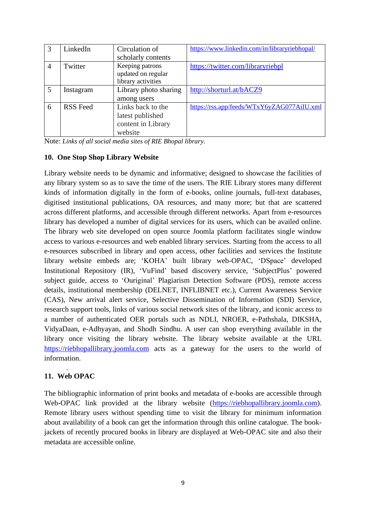|   | LinkedIn        | Circulation of        | https://www.linkedin.com/in/libraryriebhopal/ |
|---|-----------------|-----------------------|-----------------------------------------------|
|   |                 | scholarly contents    |                                               |
| 4 | Twitter         | Keeping patrons       | https://twitter.com/libraryriebpl             |
|   |                 | updated on regular    |                                               |
|   |                 | library activities    |                                               |
| 5 | Instagram       | Library photo sharing | http://shorturl.at/bACZ9                      |
|   |                 | among users           |                                               |
| 6 | <b>RSS</b> Feed | Links back to the     | https://rss.app/feeds/WTxY6yZAG077AiIU.xml    |
|   |                 | latest published      |                                               |
|   |                 | content in Library    |                                               |
|   |                 | website               |                                               |

Note: *Links of all social media sites of RIE Bhopal library.*

#### **10. One Stop Shop Library Website**

Library website needs to be dynamic and informative; designed to showcase the facilities of any library system so as to save the time of the users. The RIE Library stores many different kinds of information digitally in the form of e-books, online journals, full-text databases, digitised institutional publications, OA resources, and many more; but that are scattered across different platforms, and accessible through different networks. Apart from e-resources library has developed a number of digital services for its users, which can be availed online. The library web site developed on open source Joomla platform facilitates single window access to various e-resources and web enabled library services. Starting from the access to all e-resources subscribed in library and open access, other facilities and services the Institute library website embeds are; 'KOHA' built library web-OPAC, 'DSpace' developed Institutional Repository (IR), 'VuFind' based discovery service, 'SubjectPlus' powered subject guide, access to 'Ouriginal' Plagiarism Detection Software (PDS), remote access details, institutional membership (DELNET, INFLIBNET etc.), Current Awareness Service (CAS), New arrival alert service, Selective Dissemination of Information (SDI) Service, research support tools, links of various social network sites of the library, and iconic access to a number of authenticated OER portals such as NDLI, NROER, e-Pathshala, DIKSHA, VidyaDaan, e-Adhyayan, and Shodh Sindhu. A user can shop everything available in the library once visiting the library website. The library website available at the URL [https://riebhopallibrary.joomla.com](https://riebhopallibrary.joomla.com/) acts as a gateway for the users to the world of information.

#### . **11. Web OPAC**

The bibliographic information of print books and metadata of e-books are accessible through Web-OPAC link provided at the library website [\(https://riebhopallibrary.joomla.com\)](https://riebhopallibrary.joomla.com/). Remote library users without spending time to visit the library for minimum information about availability of a book can get the information through this online catalogue. The bookjackets of recently procured books in library are displayed at Web-OPAC site and also their metadata are accessible online.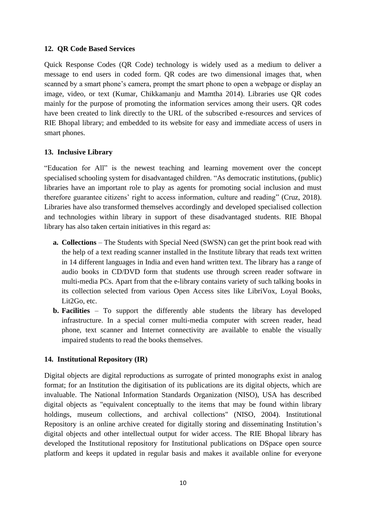#### **12. QR Code Based Services**

Quick Response Codes (QR Code) technology is widely used as a medium to deliver a message to end users in coded form. QR codes are two dimensional images that, when scanned by a smart phone's camera, prompt the smart phone to open a webpage or display an image, video, or text (Kumar, Chikkamanju and Mamtha 2014). Libraries use QR codes mainly for the purpose of promoting the information services among their users. QR codes have been created to link directly to the URL of the subscribed e-resources and services of RIE Bhopal library; and embedded to its website for easy and immediate access of users in smart phones.

#### **13. Inclusive Library**

"Education for All" is the newest teaching and learning movement over the concept specialised schooling system for disadvantaged children. "As democratic institutions, (public) libraries have an important role to play as agents for promoting social inclusion and must therefore guarantee citizens' right to access information, culture and reading" (Cruz, 2018). Libraries have also transformed themselves accordingly and developed specialised collection and technologies within library in support of these disadvantaged students. RIE Bhopal library has also taken certain initiatives in this regard as:

- **a. Collections**  The Students with Special Need (SWSN) can get the print book read with the help of a text reading scanner installed in the Institute library that reads text written in 14 different languages in India and even hand written text. The library has a range of audio books in CD/DVD form that students use through screen reader software in multi-media PCs. Apart from that the e-library contains variety of such talking books in its collection selected from various Open Access sites like LibriVox, Loyal Books, Lit2Go, etc.
- **b. Facilities** To support the differently able students the library has developed infrastructure. In a special corner multi-media computer with screen reader, head phone, text scanner and Internet connectivity are available to enable the visually impaired students to read the books themselves.

#### **14. Institutional Repository (IR)**

Digital objects are digital reproductions as surrogate of printed monographs exist in analog format; for an Institution the digitisation of its publications are its digital objects, which are invaluable. The National Information Standards Organization (NISO), USA has described digital objects as "equivalent conceptually to the items that may be found within library holdings, museum collections, and archival collections" (NISO, 2004). Institutional Repository is an online archive created for digitally storing and disseminating Institution's digital objects and other intellectual output for wider access. The RIE Bhopal library has developed the Institutional repository for Institutional publications on DSpace open source platform and keeps it updated in regular basis and makes it available online for everyone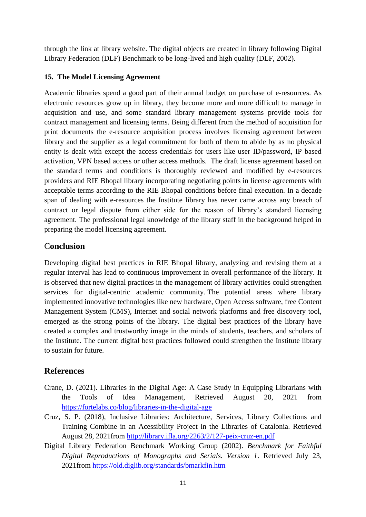through the link at library website. The digital objects are created in library following Digital Library Federation (DLF) Benchmark to be long-lived and high quality (DLF, 2002).

#### **15. The Model Licensing Agreement**

Academic libraries spend a good part of their annual budget on purchase of e-resources. As electronic resources grow up in library, they become more and more difficult to manage in acquisition and use, and some standard library management systems provide tools for contract management and licensing terms. Being different from the method of acquisition for print documents the e-resource acquisition process involves licensing agreement between library and the supplier as a legal commitment for both of them to abide by as no physical entity is dealt with except the access credentials for users like user ID/password, IP based activation, VPN based access or other access methods. The draft license agreement based on the standard terms and conditions is thoroughly reviewed and modified by e-resources providers and RIE Bhopal library incorporating negotiating points in license agreements with acceptable terms according to the RIE Bhopal conditions before final execution. In a decade span of dealing with e-resources the Institute library has never came across any breach of contract or legal dispute from either side for the reason of library's standard licensing agreement. The professional legal knowledge of the library staff in the background helped in preparing the model licensing agreement.

## C**onclusion**

Developing digital best practices in RIE Bhopal library, analyzing and revising them at a regular interval has lead to continuous improvement in overall performance of the library. It is observed that new digital practices in the management of library activities could strengthen services for digital-centric academic community. The potential areas where library implemented innovative technologies like new hardware, Open Access software, free Content Management System (CMS), Internet and social network platforms and free discovery tool, emerged as the strong points of the library. The digital best practices of the library have created a complex and trustworthy image in the minds of students, teachers, and scholars of the Institute. The current digital best practices followed could strengthen the Institute library to sustain for future.

## **References**

- Crane, D. (2021). Libraries in the Digital Age: A Case Study in Equipping Librarians with the Tools of Idea Management, Retrieved August 20, 2021 from <https://fortelabs.co/blog/libraries-in-the-digital-age>
- Cruz, S. P. (2018), Inclusive Libraries: Architecture, Services, Library Collections and Training Combine in an Acessibility Project in the Libraries of Catalonia. Retrieved August 28, 2021from<http://library.ifla.org/2263/2/127-peix-cruz-en.pdf>
- Digital Library Federation Benchmark Working Group (2002). *Benchmark for Faithful Digital Reproductions of Monographs and Serials. Version 1*. Retrieved July 23, 2021from<https://old.diglib.org/standards/bmarkfin.htm>